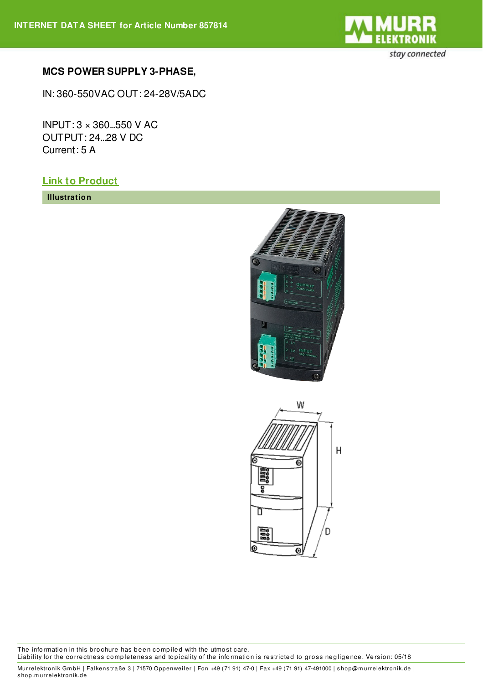

## **MCS POWER SUPPLY 3-PHASE,**

IN: 360-550VAC OUT: 24-28V/5ADC

INPUT: 3 × 360...550 V AC OUTPUT: 24...28 V DC Current: 5 A

## **Link to [Product](https://shop.murrelektronik.de/857814?lang=1)**

**Illustration**





The information in this brochure has been compiled with the utmost care. Liability for the correctness completeness and topicality of the information is restricted to gross negligence. Version: 05/18

Murrelektronik Gm bH | Falkens traße 3 | 71570 Oppenwei ler | Fon +49 (71 91) 47-0 | Fax +49 (71 91) 47-491000 | s hop@m urrelektronik.de | s hop.m urrelektronik.de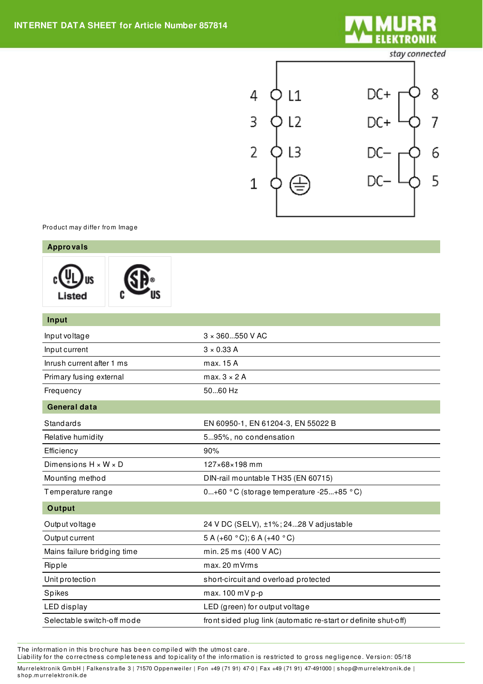

stay connected



Product may differ from Image

| <b>Approvals</b>                 |                                                                 |
|----------------------------------|-----------------------------------------------------------------|
| Listed                           |                                                                 |
| Input                            |                                                                 |
| Input voltage                    | 3 × 360550 V AC                                                 |
| Input current                    | $3 \times 0.33$ A                                               |
| Inrush current after 1 ms        | max. 15 A                                                       |
| Primary fusing external          | max.3 × 2 A                                                     |
| Frequency                        | 5060 Hz                                                         |
| <b>General data</b>              |                                                                 |
| <b>Standards</b>                 | EN 60950-1, EN 61204-3, EN 55022 B                              |
| Relative humidity                | 595%, no condensation                                           |
| Efficiency                       | 90%                                                             |
| Dimensions $H \times W \times D$ | 127×68×198 mm                                                   |
| Mounting method                  | DIN-rail mountable TH35 (EN 60715)                              |
| Temperature range                | 0+60 °C (storage temperature -25+85 °C)                         |
| Output                           |                                                                 |
| Output voltage                   | 24 V DC (SELV), ±1%; 2428 V adjustable                          |
| Output current                   | 5 A (+60 °C); 6 A (+40 °C)                                      |
| Mains failure bridging time      | min. 25 ms (400 V AC)                                           |
| Ripple                           | max. 20 mVrms                                                   |
| Unit protection                  | short-circuit and overload protected                            |
| Spikes                           | max. 100 mV p-p                                                 |
| LED display                      | LED (green) for output voltage                                  |
| Selectable switch-off mode       | front sided plug link (automatic re-start or definite shut-off) |

The information in this brochure has been compiled with the utmost care.

Liability for the correctness completeness and topicality of the information is restricted to gross negligence. Version: 05/18

Murrelektronik GmbH | Falkenstraße 3 | 71570 Oppenweiler | Fon +49 (71 91) 47-0 | Fax +49 (71 91) 47-491000 | shop@murrelektronik.de | s hop.m urrelektronik.de